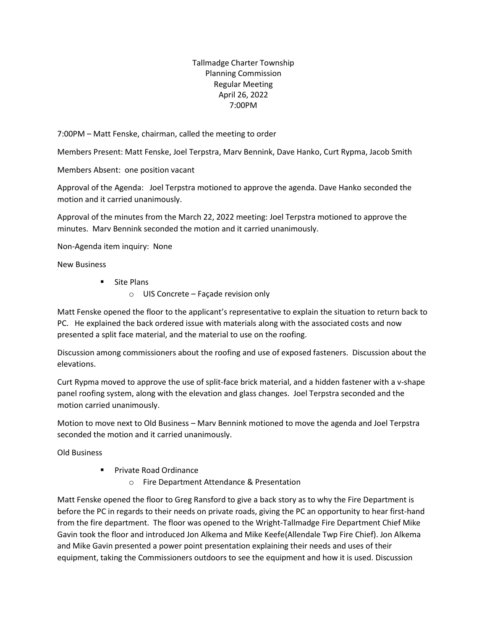Tallmadge Charter Township Planning Commission Regular Meeting April 26, 2022 7:00PM

7:00PM – Matt Fenske, chairman, called the meeting to order

Members Present: Matt Fenske, Joel Terpstra, Marv Bennink, Dave Hanko, Curt Rypma, Jacob Smith

Members Absent: one position vacant

Approval of the Agenda: Joel Terpstra motioned to approve the agenda. Dave Hanko seconded the motion and it carried unanimously.

Approval of the minutes from the March 22, 2022 meeting: Joel Terpstra motioned to approve the minutes. Marv Bennink seconded the motion and it carried unanimously.

Non-Agenda item inquiry: None

New Business

- Site Plans
	- o UIS Concrete Façade revision only

Matt Fenske opened the floor to the applicant's representative to explain the situation to return back to PC. He explained the back ordered issue with materials along with the associated costs and now presented a split face material, and the material to use on the roofing.

Discussion among commissioners about the roofing and use of exposed fasteners. Discussion about the elevations.

Curt Rypma moved to approve the use of split-face brick material, and a hidden fastener with a v-shape panel roofing system, along with the elevation and glass changes. Joel Terpstra seconded and the motion carried unanimously.

Motion to move next to Old Business – Marv Bennink motioned to move the agenda and Joel Terpstra seconded the motion and it carried unanimously.

Old Business

- Private Road Ordinance
	- o Fire Department Attendance & Presentation

Matt Fenske opened the floor to Greg Ransford to give a back story as to why the Fire Department is before the PC in regards to their needs on private roads, giving the PC an opportunity to hear first-hand from the fire department. The floor was opened to the Wright-Tallmadge Fire Department Chief Mike Gavin took the floor and introduced Jon Alkema and Mike Keefe(Allendale Twp Fire Chief). Jon Alkema and Mike Gavin presented a power point presentation explaining their needs and uses of their equipment, taking the Commissioners outdoors to see the equipment and how it is used. Discussion